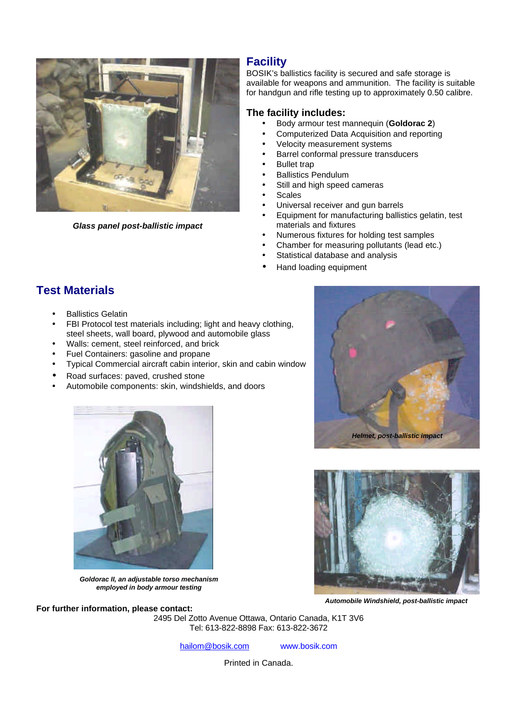

*Glass panel post-ballistic impact*

## **Facility**

BOSIK's ballistics facility is secured and safe storage is available for weapons and ammunition. The facility is suitable for handgun and rifle testing up to approximately 0.50 calibre.

#### **The facility includes:**

- Body armour test mannequin (**Goldorac 2**)
- Computerized Data Acquisition and reporting
- Velocity measurement systems
- Barrel conformal pressure transducers
- **Bullet trap**
- Ballistics Pendulum
- Still and high speed cameras
- Scales
- Universal receiver and gun barrels
- Equipment for manufacturing ballistics gelatin, test materials and fixtures
- Numerous fixtures for holding test samples
- Chamber for measuring pollutants (lead etc.)
- Statistical database and analysis
- Hand loading equipment

# **Test Materials**

- **Ballistics Gelatin**
- FBI Protocol test materials including; light and heavy clothing, steel sheets, wall board, plywood and automobile glass
- Walls: cement, steel reinforced, and brick
- Fuel Containers: gasoline and propane
- Typical Commercial aircraft cabin interior, skin and cabin window
- Road surfaces: paved, crushed stone
- Automobile components: skin, windshields, and doors





*Goldorac II, an adjustable torso mechanism employed in body armour testing*



*Automobile Windshield, post-ballistic impact*

**For further information, please contact:** 2495 Del Zotto Avenue Ottawa, Ontario Canada, K1T 3V6 Tel: 613-822-8898 Fax: 613-822-3672

hailom@bosik.com www.bosik.com

Printed in Canada.